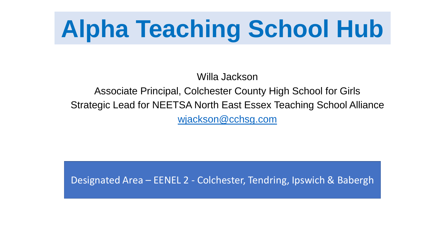# **Alpha Teaching School Hub**

Willa Jackson

Associate Principal, Colchester County High School for Girls Strategic Lead for NEETSA North East Essex Teaching School Alliance [wjackson@cchsg.com](mailto:wjackson@cchsg.com)

Designated Area – EENEL 2 - Colchester, Tendring, Ipswich & Babergh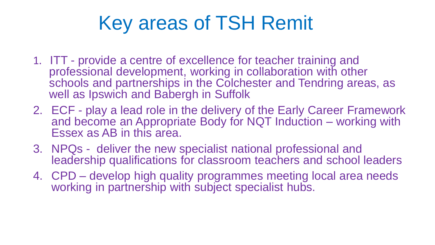### Key areas of TSH Remit

- 1. ITT provide a centre of excellence for teacher training and professional development, working in collaboration with other schools and partnerships in the Colchester and Tendring areas, as well as Ipswich and Babergh in Suffolk
- 2. ECF play a lead role in the delivery of the Early Career Framework and become an Appropriate Body for NQT Induction – working with Essex as AB in this area.
- 3. NPQs deliver the new specialist national professional and leadership qualifications for classroom teachers and school leaders
- 4. CPD develop high quality programmes meeting local area needs working in partnership with subject specialist hubs.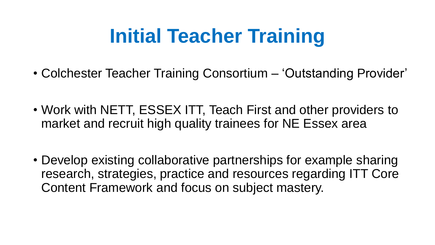### **Initial Teacher Training**

- Colchester Teacher Training Consortium 'Outstanding Provider'
- Work with NETT, ESSEX ITT, Teach First and other providers to market and recruit high quality trainees for NE Essex area
- Develop existing collaborative partnerships for example sharing research, strategies, practice and resources regarding ITT Core Content Framework and focus on subject mastery.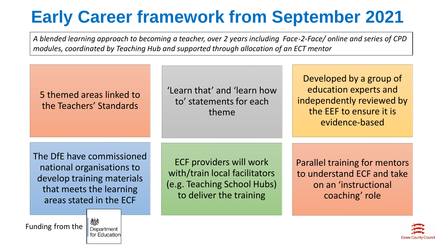### **Early Career framework from September 2021**

*A blended learning approach to becoming a teacher, over 2 years including Face-2-Face/ online and series of CPD modules, coordinated by Teaching Hub and supported through allocation of an ECT mentor*



for Education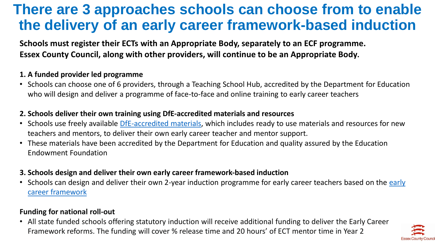### **There are 3 approaches schools can choose from to enable the delivery of an early career framework-based induction**

**Schools must register their ECTs with an Appropriate Body, separately to an ECF programme. Essex County Council, along with other providers, will continue to be an Appropriate Body.** 

#### **1. A funded provider led programme**

• Schools can choose one of 6 providers, through a Teaching School Hub, accredited by the Department for Education who will design and deliver a programme of face-to-face and online training to early career teachers

#### **2. Schools deliver their own training using DfE-accredited materials and resources**

- Schools use freely available [DfE-accredited materials](https://www.early-career-framework.education.gov.uk/), which includes ready to use materials and resources for new teachers and mentors, to deliver their own early career teacher and mentor support.
- These materials have been accredited by the Department for Education and quality assured by the Education Endowment Foundation

#### **3. Schools design and deliver their own early career framework-based induction**

• [Schools can design and deliver their own 2-year induction programme for early career teachers based on the](https://www.gov.uk/government/publications/early-career-framework) early career framework

#### **Funding for national roll-out**

• All state funded schools offering statutory induction will receive additional funding to deliver the Early Career Framework reforms. The funding will cover % release time and 20 hours' of ECT mentor time in Year 2

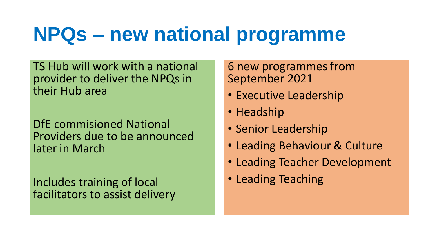### **NPQs – new national programme**

TS Hub will work with a national provider to deliver the NPQs in their Hub area

DfE commisioned National Providers due to be announced later in March

Includes training of local facilitators to assist delivery 6 new programmes from September 2021

- Executive Leadership
- Headship
- Senior Leadership
- Leading Behaviour & Culture
- Leading Teacher Development
- Leading Teaching